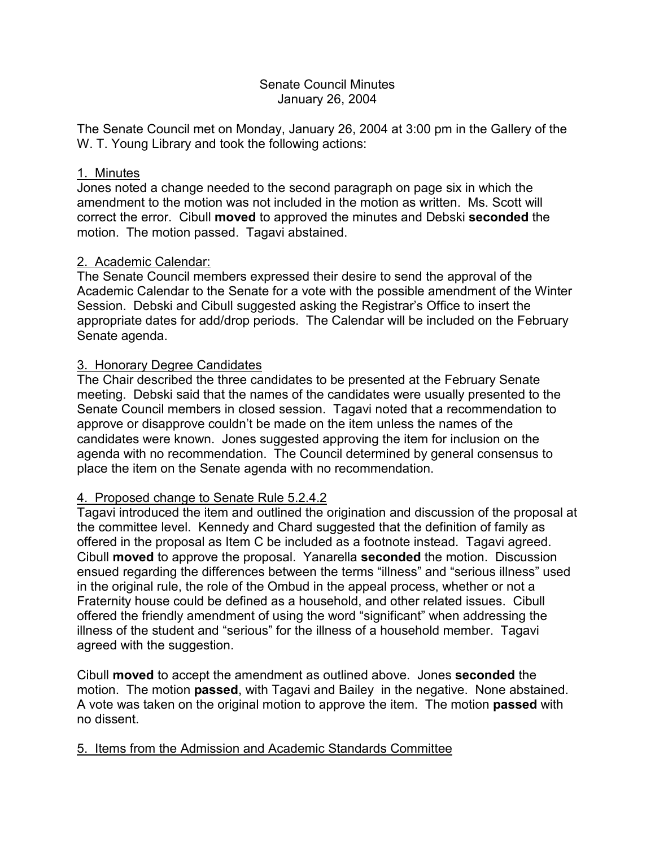### Senate Council Minutes January 26, 2004

The Senate Council met on Monday, January 26, 2004 at 3:00 pm in the Gallery of the W. T. Young Library and took the following actions:

### 1. Minutes

Jones noted a change needed to the second paragraph on page six in which the amendment to the motion was not included in the motion as written. Ms. Scott will correct the error. Cibull **moved** to approved the minutes and Debski **seconded** the motion. The motion passed. Tagavi abstained.

# 2. Academic Calendar:

The Senate Council members expressed their desire to send the approval of the Academic Calendar to the Senate for a vote with the possible amendment of the Winter Session. Debski and Cibull suggested asking the Registrar's Office to insert the appropriate dates for add/drop periods. The Calendar will be included on the February Senate agenda.

# 3. Honorary Degree Candidates

The Chair described the three candidates to be presented at the February Senate meeting. Debski said that the names of the candidates were usually presented to the Senate Council members in closed session. Tagavi noted that a recommendation to approve or disapprove couldn't be made on the item unless the names of the candidates were known. Jones suggested approving the item for inclusion on the agenda with no recommendation. The Council determined by general consensus to place the item on the Senate agenda with no recommendation.

# 4. Proposed change to Senate Rule 5.2.4.2

Tagavi introduced the item and outlined the origination and discussion of the proposal at the committee level. Kennedy and Chard suggested that the definition of family as offered in the proposal as Item C be included as a footnote instead. Tagavi agreed. Cibull **moved** to approve the proposal. Yanarella **seconded** the motion. Discussion ensued regarding the differences between the terms "illness" and "serious illness" used in the original rule, the role of the Ombud in the appeal process, whether or not a Fraternity house could be defined as a household, and other related issues. Cibull offered the friendly amendment of using the word "significant" when addressing the illness of the student and "serious" for the illness of a household member. Tagavi agreed with the suggestion.

Cibull **moved** to accept the amendment as outlined above. Jones **seconded** the motion. The motion **passed**, with Tagavi and Bailey in the negative. None abstained. A vote was taken on the original motion to approve the item. The motion **passed** with no dissent.

# 5. Items from the Admission and Academic Standards Committee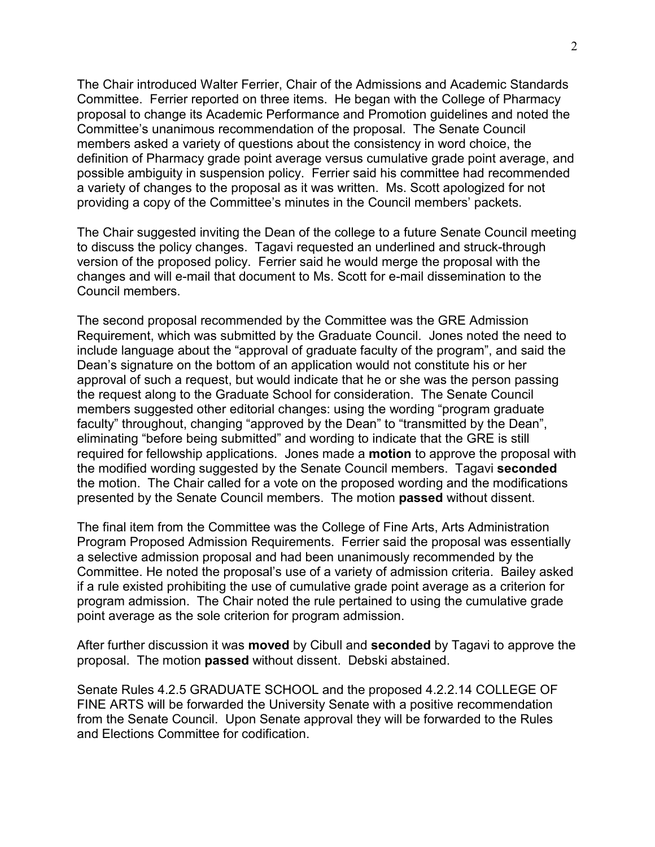The Chair introduced Walter Ferrier, Chair of the Admissions and Academic Standards Committee. Ferrier reported on three items. He began with the College of Pharmacy proposal to change its Academic Performance and Promotion guidelines and noted the Committee's unanimous recommendation of the proposal. The Senate Council members asked a variety of questions about the consistency in word choice, the definition of Pharmacy grade point average versus cumulative grade point average, and possible ambiguity in suspension policy. Ferrier said his committee had recommended a variety of changes to the proposal as it was written. Ms. Scott apologized for not providing a copy of the Committee's minutes in the Council members' packets.

The Chair suggested inviting the Dean of the college to a future Senate Council meeting to discuss the policy changes. Tagavi requested an underlined and struck-through version of the proposed policy. Ferrier said he would merge the proposal with the changes and will e-mail that document to Ms. Scott for e-mail dissemination to the Council members.

The second proposal recommended by the Committee was the GRE Admission Requirement, which was submitted by the Graduate Council. Jones noted the need to include language about the "approval of graduate faculty of the program", and said the Dean's signature on the bottom of an application would not constitute his or her approval of such a request, but would indicate that he or she was the person passing the request along to the Graduate School for consideration. The Senate Council members suggested other editorial changes: using the wording "program graduate faculty" throughout, changing "approved by the Dean" to "transmitted by the Dean", eliminating "before being submitted" and wording to indicate that the GRE is still required for fellowship applications. Jones made a **motion** to approve the proposal with the modified wording suggested by the Senate Council members. Tagavi **seconded**  the motion. The Chair called for a vote on the proposed wording and the modifications presented by the Senate Council members. The motion **passed** without dissent.

The final item from the Committee was the College of Fine Arts, Arts Administration Program Proposed Admission Requirements. Ferrier said the proposal was essentially a selective admission proposal and had been unanimously recommended by the Committee. He noted the proposal's use of a variety of admission criteria. Bailey asked if a rule existed prohibiting the use of cumulative grade point average as a criterion for program admission. The Chair noted the rule pertained to using the cumulative grade point average as the sole criterion for program admission.

After further discussion it was **moved** by Cibull and **seconded** by Tagavi to approve the proposal. The motion **passed** without dissent. Debski abstained.

Senate Rules 4.2.5 GRADUATE SCHOOL and the proposed 4.2.2.14 COLLEGE OF FINE ARTS will be forwarded the University Senate with a positive recommendation from the Senate Council. Upon Senate approval they will be forwarded to the Rules and Elections Committee for codification.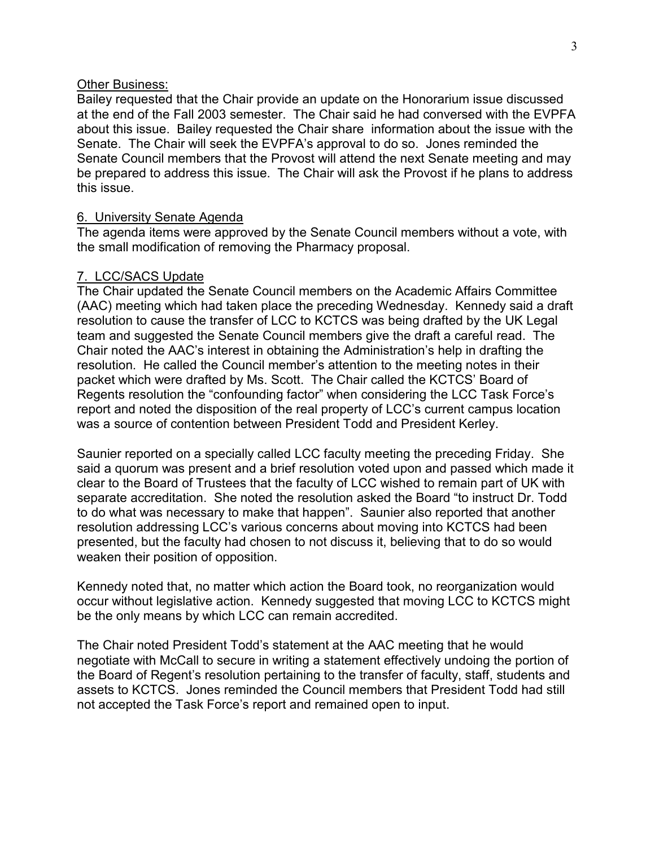#### Other Business:

Bailey requested that the Chair provide an update on the Honorarium issue discussed at the end of the Fall 2003 semester. The Chair said he had conversed with the EVPFA about this issue. Bailey requested the Chair share information about the issue with the Senate. The Chair will seek the EVPFA's approval to do so. Jones reminded the Senate Council members that the Provost will attend the next Senate meeting and may be prepared to address this issue. The Chair will ask the Provost if he plans to address this issue.

#### 6. University Senate Agenda

The agenda items were approved by the Senate Council members without a vote, with the small modification of removing the Pharmacy proposal.

#### 7. LCC/SACS Update

The Chair updated the Senate Council members on the Academic Affairs Committee (AAC) meeting which had taken place the preceding Wednesday. Kennedy said a draft resolution to cause the transfer of LCC to KCTCS was being drafted by the UK Legal team and suggested the Senate Council members give the draft a careful read. The Chair noted the AAC's interest in obtaining the Administration's help in drafting the resolution. He called the Council member's attention to the meeting notes in their packet which were drafted by Ms. Scott. The Chair called the KCTCS' Board of Regents resolution the "confounding factor" when considering the LCC Task Force's report and noted the disposition of the real property of LCC's current campus location was a source of contention between President Todd and President Kerley.

Saunier reported on a specially called LCC faculty meeting the preceding Friday. She said a quorum was present and a brief resolution voted upon and passed which made it clear to the Board of Trustees that the faculty of LCC wished to remain part of UK with separate accreditation. She noted the resolution asked the Board "to instruct Dr. Todd to do what was necessary to make that happen". Saunier also reported that another resolution addressing LCC's various concerns about moving into KCTCS had been presented, but the faculty had chosen to not discuss it, believing that to do so would weaken their position of opposition.

Kennedy noted that, no matter which action the Board took, no reorganization would occur without legislative action. Kennedy suggested that moving LCC to KCTCS might be the only means by which LCC can remain accredited.

The Chair noted President Todd's statement at the AAC meeting that he would negotiate with McCall to secure in writing a statement effectively undoing the portion of the Board of Regent's resolution pertaining to the transfer of faculty, staff, students and assets to KCTCS. Jones reminded the Council members that President Todd had still not accepted the Task Force's report and remained open to input.